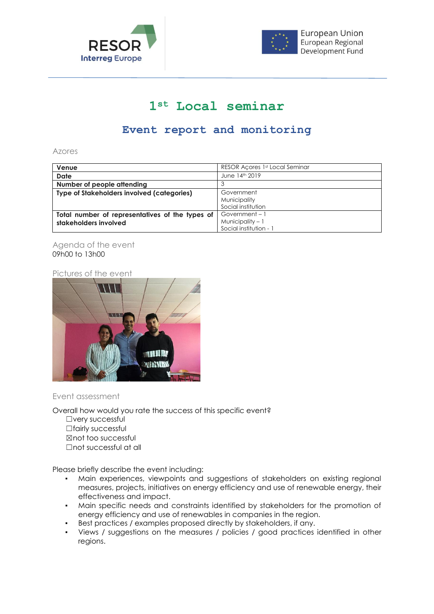



## **1st Local seminar**

## **Event report and monitoring**

Azores

| Venue                                             | RESOR Acores 1st Local Seminar |
|---------------------------------------------------|--------------------------------|
| Date                                              | June 14th 2019                 |
| Number of people attending                        |                                |
| <b>Type of Stakeholders involved (categories)</b> | Government                     |
|                                                   | Municipality                   |
|                                                   | Social institution             |
| Total number of representatives of the types of   | Government-1                   |
| stakeholders involved                             | Municipality $-1$              |
|                                                   | Social institution - 1         |

## Agenda of the event 09h00 to 13h00

Pictures of the event



## Event assessment

Overall how would you rate the success of this specific event?

☐very successful □fairly successful ☒not too successful ☐not successful at all

Please briefly describe the event including:

- Main experiences, viewpoints and suggestions of stakeholders on existing regional measures, projects, initiatives on energy efficiency and use of renewable energy, their effectiveness and impact.
- Main specific needs and constraints identified by stakeholders for the promotion of energy efficiency and use of renewables in companies in the region.
- Best practices / examples proposed directly by stakeholders, if any.
- Views / suggestions on the measures / policies / good practices identified in other regions.